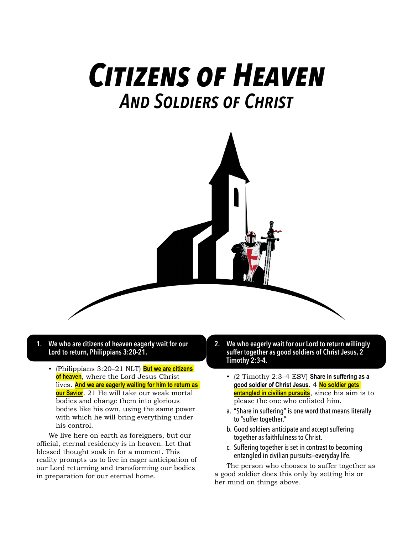## *Citizens of Heaven And Soldiers of Christ*



## **1. We who are citizens of heaven eagerly wait for our Lord to return, Philippians 3:20-21.**

• (Philippians 3:20–21 NLT) **But we are citizens of heaven**, where the Lord Jesus Christ lives. **And we are eagerly waiting for him to return as our Savior**. 21 He will take our weak mortal bodies and change them into glorious bodies like his own, using the same power with which he will bring everything under his control.

We live here on earth as foreigners, but our official, eternal residency is in heaven. Let that blessed thought soak in for a moment. This reality prompts us to live in eager anticipation of our Lord returning and transforming our bodies in preparation for our eternal home.

- **2. We who eagerly wait for our Lord to return willingly suffer together as good soldiers of Christ Jesus, 2 Timothy 2:3-4.**
	- (2 Timothy 2:3–4 ESV) **Share in suffering as a good soldier of Christ Jesus**. 4 **No soldier gets entangled in civilian pursuits**, since his aim is to please the one who enlisted him.
	- a. "Share in suffering" is one word that means literally to "suffer together."
	- b. Good soldiers anticipate and accept suffering together as faithfulness to Christ.
	- c. Suffering together is set in contrast to becoming entangled in civilian pursuits—everyday life.

The person who chooses to suffer together as a good soldier does this only by setting his or her mind on things above.